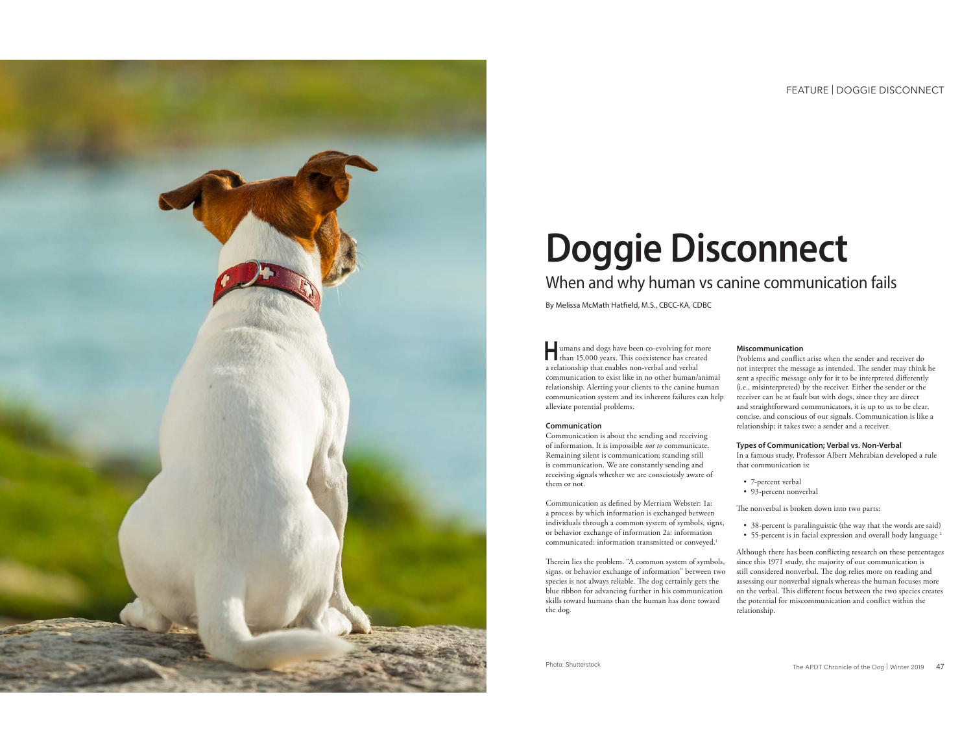FEATURE | DOGGIE DISCONNECT



# **Doggie Disconnect**

When and why human vs canine communication fails

By Melissa McMath Hatfield, M.S., CBCC-KA, CDBC

**Humans and dogs have been co-evolving for more than 15,000 years. This coexistence has created** a relationship that enables non-verbal and verbal communication to exist like in no other human/animal relationship. Alerting your clients to the canine human communication system and its inherent failures can help alleviate potential problems.

#### **Communication**

Communication is about the sending and receiving of information. It is impossible *not to* communicate. Remaining silent is communication; standing still is communication. We are constantly sending and receiving signals whether we are consciously aware of them or not.

Communication as defined by Merriam Webster: 1a: a process by which information is exchanged between individuals through a common system of symbols, signs, or behavior exchange of information 2a: information communicated: information transmitted or conveyed.1

Therein lies the problem. "A common system of symbols, signs, or behavior exchange of information" between two species is not always reliable. The dog certainly gets the blue ribbon for advancing further in his communication skills toward humans than the human has done toward the dog.

#### **Miscommunication**

Problems and conflict arise when the sender and receiver do not interpret the message as intended. The sender may think he sent a specific message only for it to be interpreted differently (i.e., misinterpreted) by the receiver. Either the sender or the receiver can be at fault but with dogs, since they are direct and straightforward communicators, it is up to us to be clear, concise, and conscious of our signals. Communication is like a relationship; it takes two: a sender and a receiver.

#### **Types of Communication; Verbal vs. Non-Verbal**

In a famous study, Professor Albert Mehrabian developed a rule that communication is:

- 7-percent verbal
- 93-percent nonverbal

The nonverbal is broken down into two parts:

• 38-percent is paralinguistic (the way that the words are said) • 55-percent is in facial expression and overall body language<sup>2</sup>

Although there has been conflicting research on these percentages since this 1971 study, the majority of our communication is still considered nonverbal. The dog relies more on reading and assessing our nonverbal signals whereas the human focuses more on the verbal. This different focus between the two species creates the potential for miscommunication and conflict within the relationship.

Photo: Shutterstock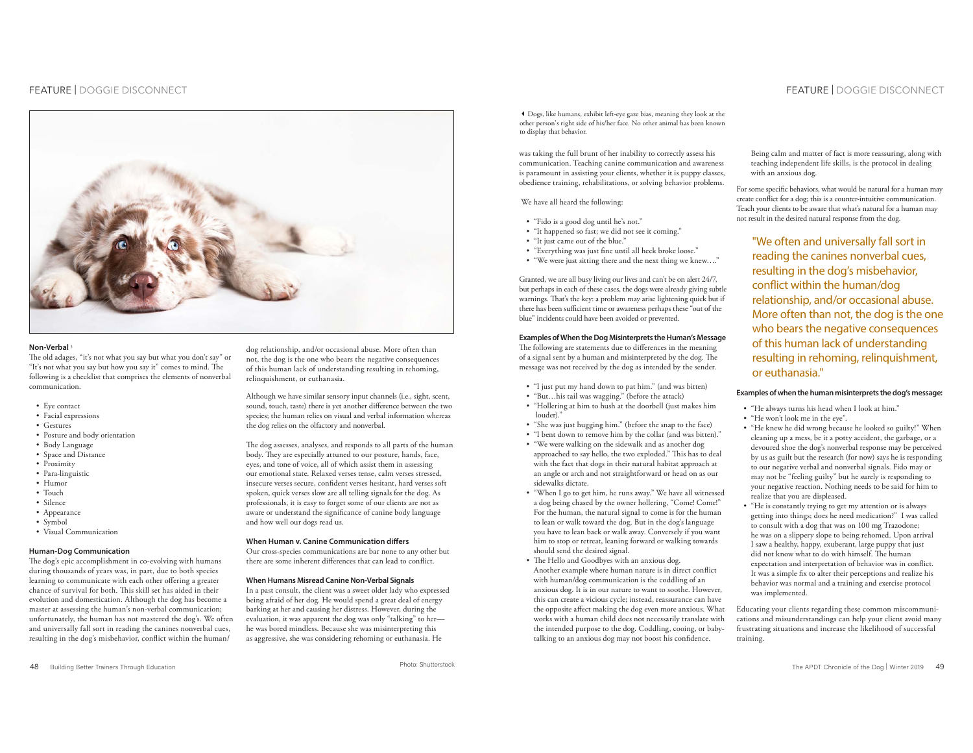# FEATURE | DOGGIE DISCONNECT



## **Non-Verbal**

The old adages, "it's not what you say but what you don't say" or "It's not what you say but how you say it" comes to mind. The following is a checklist that comprises the elements of nonverbal communication.

- Eye contact
- Facial expressions
- Gestures
- Posture and body orientation
- Body Language
- Space and Distance
- Proximity
- Para-linguistic
- Humor • Touch
- Silence
- Appearance
- Symbol
- Visual Communication

#### **Human-Dog Communication**

The dog's epic accomplishment in co-evolving with humans during thousands of years was, in part, due to both species learning to communicate with each other offering a greater chance of survival for both. This skill set has aided in their evolution and domestication. Although the dog has become a master at assessing the human's non-verbal communication; unfortunately, the human has not mastered the dog's. We often and universally fall sort in reading the canines nonverbal cues, resulting in the dog's misbehavior, conflict within the human/

dog relationship, and/or occasional abuse. More often than not, the dog is the one who bears the negative consequences of this human lack of understanding resulting in rehoming, relinquishment, or euthanasia.

Although we have similar sensory input channels (i.e., sight, scent, sound, touch, taste) there is yet another difference between the two species; the human relies on visual and verbal information whereas the dog relies on the olfactory and nonverbal.

The dog assesses, analyses, and responds to all parts of the human body. They are especially attuned to our posture, hands, face, eyes, and tone of voice, all of which assist them in assessing our emotional state. Relaxed verses tense, calm verses stressed, insecure verses secure, confident verses hesitant, hard verses soft spoken, quick verses slow are all telling signals for the dog. As professionals, it is easy to forget some of our clients are not as aware or understand the significance of canine body language and how well our dogs read us.

### **When Human v. Canine Communication differs**

Our cross-species communications are bar none to any other but there are some inherent differences that can lead to conflict.

#### **When Humans Misread Canine Non-Verbal Signals**

In a past consult, the client was a sweet older lady who expressed being afraid of her dog. He would spend a great deal of energy barking at her and causing her distress. However, during the evaluation, it was apparent the dog was only "talking" to her he was bored mindless. Because she was misinterpreting this as aggressive, she was considering rehoming or euthanasia. He

Dogs, like humans, exhibit left-eye gaze bias, meaning they look at the other person's right side of his/her face. No other animal has been known to display that behavior.

was taking the full brunt of her inability to correctly assess his communication. Teaching canine communication and awareness is paramount in assisting your clients, whether it is puppy classes, obedience training, rehabilitations, or solving behavior problems.

We have all heard the following:

- "Fido is a good dog until he's not."
- "It happened so fast; we did not see it coming."
- "It just came out of the blue."
- "Everything was just fine until all heck broke loose."
- "We were just sitting there and the next thing we knew…."

Granted, we are all busy living our lives and can't be on alert 24/7, but perhaps in each of these cases, the dogs were already giving subtle warnings. That's the key: a problem may arise lightening quick but if there has been sufficient time or awareness perhaps these "out of the blue" incidents could have been avoided or prevented.

#### **Examples of When the Dog Misinterprets the Human's Message**

The following are statements due to differences in the meaning of a signal sent by a human and misinterpreted by the dog. The message was not received by the dog as intended by the sender.

- "I just put my hand down to pat him." (and was bitten)
- "But…his tail was wagging." (before the attack)
- "Hollering at him to hush at the doorbell (just makes him louder)<sup>\*</sup>
- "She was just hugging him." (before the snap to the face)
- "I bent down to remove him by the collar (and was bitten)."
- "We were walking on the sidewalk and as another dog approached to say hello, the two exploded." This has to deal with the fact that dogs in their natural habitat approach at an angle or arch and not straightforward or head on as our sidewalks dictate.
- "When I go to get him, he runs away." We have all witnessed a dog being chased by the owner hollering, "Come! Come!" For the human, the natural signal to come is for the human to lean or walk toward the dog. But in the dog's language you have to lean back or walk away. Conversely if you want him to stop or retreat, leaning forward or walking towards should send the desired signal.
- The Hello and Goodbyes with an anxious dog. Another example where human nature is in direct conflict with human/dog communication is the coddling of an anxious dog. It is in our nature to want to soothe. However, this can create a vicious cycle; instead, reassurance can have the opposite affect making the dog even more anxious. What works with a human child does not necessarily translate with the intended purpose to the dog. Coddling, cooing, or baby talking to an anxious dog may not boost his confidence.

## FEATURE | DOGGIE DISCONNECT

 Being calm and matter of fact is more reassuring, along with teaching independent life skills, is the protocol in dealing with an anxious dog.

For some specific behaviors, what would be natural for a human may create conflict for a dog; this is a counter-intuitive communication. Teach your clients to be aware that what's natural for a human may not result in the desired natural response from the dog.

"We often and universally fall sort in reading the canines nonverbal cues, resulting in the dog's misbehavior, conflict within the human/dog relationship, and/or occasional abuse. More often than not, the dog is the one who bears the negative consequences of this human lack of understanding resulting in rehoming, relinquishment, or euthanasia."

## **Examples of when the human misinterprets the dog's message:**

- "He always turns his head when I look at him."
	- "He won't look me in the eye".
	- "He knew he did wrong because he looked so guilty!" When cleaning up a mess, be it a potty accident, the garbage, or a devoured shoe the dog's nonverbal response may be perceived by us as guilt but the research (for now) says he is responding to our negative verbal and nonverbal signals. Fido may or may not be "feeling guilty" but he surely is responding to your negative reaction. Nothing needs to be said for him to realize that you are displeased.
	- "He is constantly trying to get my attention or is always getting into things; does he need medication?" I was called to consult with a dog that was on 100 mg Trazodone; he was on a slippery slope to being rehomed. Upon arrival I saw a healthy, happy, exuberant, large puppy that just did not know what to do with himself. The human expectation and interpretation of behavior was in conflict. It was a simple fix to alter their perceptions and realize his behavior was normal and a training and exercise protocol was implemented.

Educating your clients regarding these common miscommunications and misunderstandings can help your client avoid many frustrating situations and increase the likelihood of successful training.